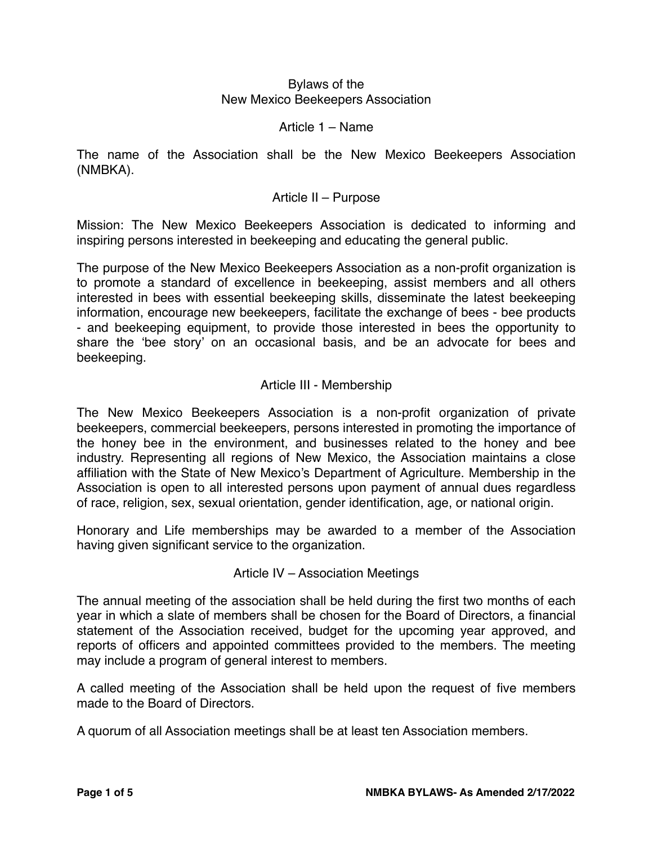### Bylaws of the New Mexico Beekeepers Association

### Article 1 – Name

The name of the Association shall be the New Mexico Beekeepers Association (NMBKA).

## Article II – Purpose

Mission: The New Mexico Beekeepers Association is dedicated to informing and inspiring persons interested in beekeeping and educating the general public.

The purpose of the New Mexico Beekeepers Association as a non-profit organization is to promote a standard of excellence in beekeeping, assist members and all others interested in bees with essential beekeeping skills, disseminate the latest beekeeping information, encourage new beekeepers, facilitate the exchange of bees - bee products - and beekeeping equipment, to provide those interested in bees the opportunity to share the 'bee story' on an occasional basis, and be an advocate for bees and beekeeping.

### Article III - Membership

The New Mexico Beekeepers Association is a non-profit organization of private beekeepers, commercial beekeepers, persons interested in promoting the importance of the honey bee in the environment, and businesses related to the honey and bee industry. Representing all regions of New Mexico, the Association maintains a close affiliation with the State of New Mexico's Department of Agriculture. Membership in the Association is open to all interested persons upon payment of annual dues regardless of race, religion, sex, sexual orientation, gender identification, age, or national origin.

Honorary and Life memberships may be awarded to a member of the Association having given significant service to the organization.

#### Article IV – Association Meetings

The annual meeting of the association shall be held during the first two months of each year in which a slate of members shall be chosen for the Board of Directors, a financial statement of the Association received, budget for the upcoming year approved, and reports of officers and appointed committees provided to the members. The meeting may include a program of general interest to members.

A called meeting of the Association shall be held upon the request of five members made to the Board of Directors.

A quorum of all Association meetings shall be at least ten Association members.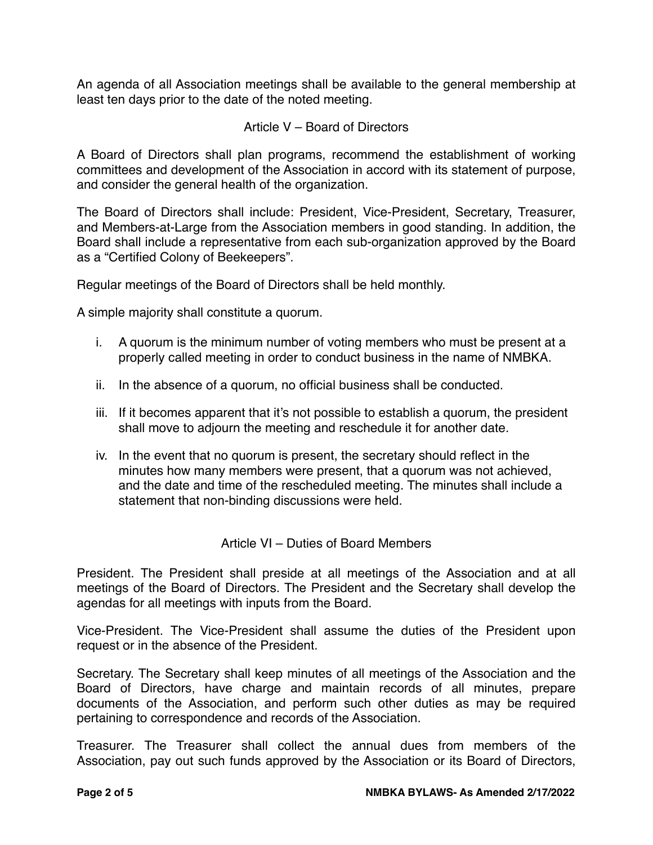An agenda of all Association meetings shall be available to the general membership at least ten days prior to the date of the noted meeting.

## Article V – Board of Directors

A Board of Directors shall plan programs, recommend the establishment of working committees and development of the Association in accord with its statement of purpose, and consider the general health of the organization.

The Board of Directors shall include: President, Vice-President, Secretary, Treasurer, and Members-at-Large from the Association members in good standing. In addition, the Board shall include a representative from each sub-organization approved by the Board as a "Certified Colony of Beekeepers".

Regular meetings of the Board of Directors shall be held monthly.

A simple majority shall constitute a quorum.

- i. A quorum is the minimum number of voting members who must be present at a properly called meeting in order to conduct business in the name of NMBKA.
- ii. In the absence of a quorum, no official business shall be conducted.
- iii. If it becomes apparent that it's not possible to establish a quorum, the president shall move to adjourn the meeting and reschedule it for another date.
- iv. In the event that no quorum is present, the secretary should reflect in the minutes how many members were present, that a quorum was not achieved, and the date and time of the rescheduled meeting. The minutes shall include a statement that non-binding discussions were held.

Article VI – Duties of Board Members

President. The President shall preside at all meetings of the Association and at all meetings of the Board of Directors. The President and the Secretary shall develop the agendas for all meetings with inputs from the Board.

Vice-President. The Vice-President shall assume the duties of the President upon request or in the absence of the President.

Secretary. The Secretary shall keep minutes of all meetings of the Association and the Board of Directors, have charge and maintain records of all minutes, prepare documents of the Association, and perform such other duties as may be required pertaining to correspondence and records of the Association.

Treasurer. The Treasurer shall collect the annual dues from members of the Association, pay out such funds approved by the Association or its Board of Directors,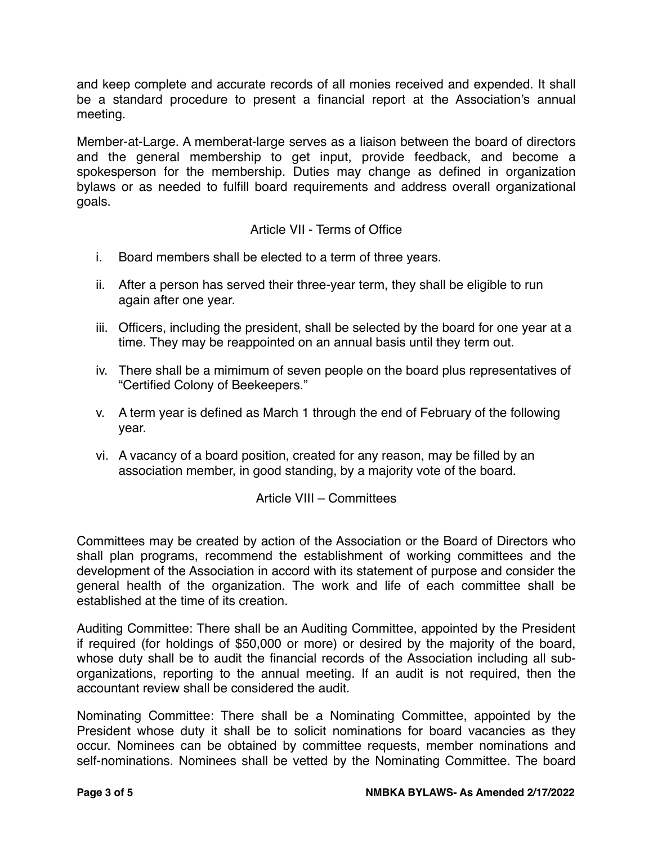and keep complete and accurate records of all monies received and expended. It shall be a standard procedure to present a financial report at the Association's annual meeting.

Member-at-Large. A memberat-large serves as a liaison between the board of directors and the general membership to get input, provide feedback, and become a spokesperson for the membership. Duties may change as defined in organization bylaws or as needed to fulfill board requirements and address overall organizational goals.

# Article VII - Terms of Office

- i. Board members shall be elected to a term of three years.
- ii. After a person has served their three-year term, they shall be eligible to run again after one year.
- iii. Officers, including the president, shall be selected by the board for one year at a time. They may be reappointed on an annual basis until they term out.
- iv. There shall be a mimimum of seven people on the board plus representatives of "Certified Colony of Beekeepers."
- v. A term year is defined as March 1 through the end of February of the following year.
- vi. A vacancy of a board position, created for any reason, may be filled by an association member, in good standing, by a majority vote of the board.

## Article VIII – Committees

Committees may be created by action of the Association or the Board of Directors who shall plan programs, recommend the establishment of working committees and the development of the Association in accord with its statement of purpose and consider the general health of the organization. The work and life of each committee shall be established at the time of its creation.

Auditing Committee: There shall be an Auditing Committee, appointed by the President if required (for holdings of \$50,000 or more) or desired by the majority of the board, whose duty shall be to audit the financial records of the Association including all suborganizations, reporting to the annual meeting. If an audit is not required, then the accountant review shall be considered the audit.

Nominating Committee: There shall be a Nominating Committee, appointed by the President whose duty it shall be to solicit nominations for board vacancies as they occur. Nominees can be obtained by committee requests, member nominations and self-nominations. Nominees shall be vetted by the Nominating Committee. The board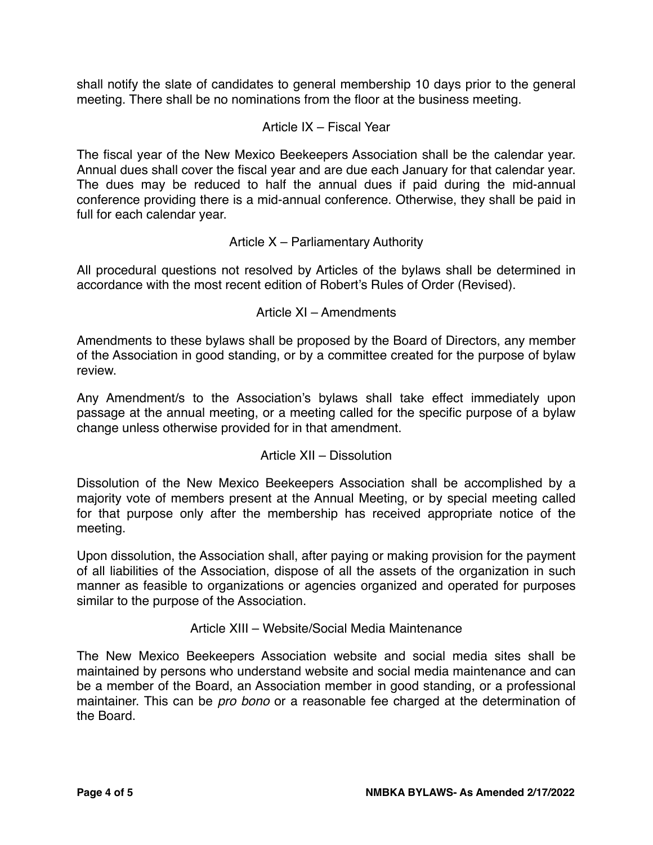shall notify the slate of candidates to general membership 10 days prior to the general meeting. There shall be no nominations from the floor at the business meeting.

# Article IX – Fiscal Year

The fiscal year of the New Mexico Beekeepers Association shall be the calendar year. Annual dues shall cover the fiscal year and are due each January for that calendar year. The dues may be reduced to half the annual dues if paid during the mid-annual conference providing there is a mid-annual conference. Otherwise, they shall be paid in full for each calendar year.

# Article X – Parliamentary Authority

All procedural questions not resolved by Articles of the bylaws shall be determined in accordance with the most recent edition of Robert's Rules of Order (Revised).

# Article XI – Amendments

Amendments to these bylaws shall be proposed by the Board of Directors, any member of the Association in good standing, or by a committee created for the purpose of bylaw review.

Any Amendment/s to the Association's bylaws shall take effect immediately upon passage at the annual meeting, or a meeting called for the specific purpose of a bylaw change unless otherwise provided for in that amendment.

## Article XII – Dissolution

Dissolution of the New Mexico Beekeepers Association shall be accomplished by a majority vote of members present at the Annual Meeting, or by special meeting called for that purpose only after the membership has received appropriate notice of the meeting.

Upon dissolution, the Association shall, after paying or making provision for the payment of all liabilities of the Association, dispose of all the assets of the organization in such manner as feasible to organizations or agencies organized and operated for purposes similar to the purpose of the Association.

## Article XIII – Website/Social Media Maintenance

The New Mexico Beekeepers Association website and social media sites shall be maintained by persons who understand website and social media maintenance and can be a member of the Board, an Association member in good standing, or a professional maintainer. This can be *pro bono* or a reasonable fee charged at the determination of the Board.